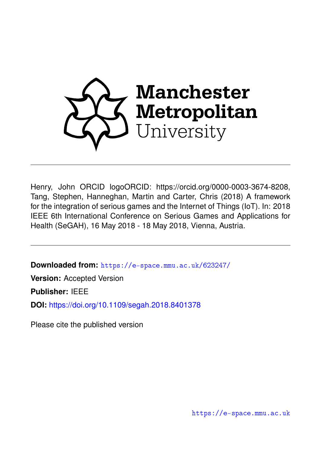

Henry, John ORCID logoORCID: https://orcid.org/0000-0003-3674-8208, Tang, Stephen, Hanneghan, Martin and Carter, Chris (2018) A framework for the integration of serious games and the Internet of Things (IoT). In: 2018 IEEE 6th International Conference on Serious Games and Applications for Health (SeGAH), 16 May 2018 - 18 May 2018, Vienna, Austria.

**Downloaded from:** <https://e-space.mmu.ac.uk/623247/>

**Version:** Accepted Version

**Publisher:** IEEE

**DOI:** <https://doi.org/10.1109/segah.2018.8401378>

Please cite the published version

<https://e-space.mmu.ac.uk>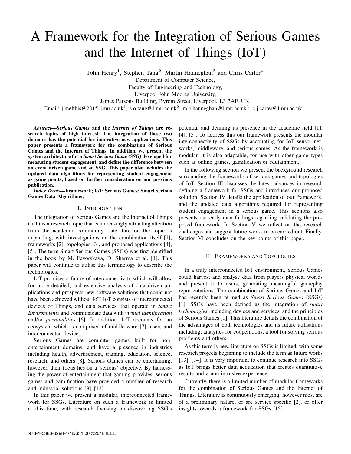# A Framework for the Integration of Serious Games and the Internet of Things (IoT)

John Henry<sup>1</sup>, Stephen Tang<sup>2</sup>, Martin Hanneghan<sup>3</sup> and Chris Carter<sup>4</sup>

Department of Computer Science,

Faculty of Engineering and Technology,

Liverpool John Moores University,

James Parsons Building, Byrom Street, Liverpool, L3 3AF, UK.

Email: j.melthis@2015.ljmu.ac.uk<sup>1</sup>, s.o.tang@ljmu.ac.uk<sup>2</sup>, m.b.hanneghan@ljmu.ac.uk<sup>3</sup>, c.j.carter@ljmu.ac.uk<sup>4</sup>

*Abstract*—*Serious Games* and the *Internet of Things* are research topics of high interest. The integration of these two domains has the potential for innovative new applications. This paper presents a framework for the combination of Serious Games and the Internet of Things. In addition, we present the system architecture for a *Smart Serious Game (SSG)* developed for measuring student engagement, and define the difference between an event driven game and an SSG. This paper also includes the updated data algorithms for representing student engagement as game points, based on further consideration on our previous publication.

*Index Terms*—Framework; IoT; Serious Games; Smart Serious Games;Data Algorithms;

## I. INTRODUCTION

The integration of Serious Games and the Internet of Things (IoT) is a research topic that is increasingly attracting attention from the academic community. Literature on the topic is expanding, with investigations on the combination itself [1], frameworks [2], topologies [3], and proposed applications [4], [5]. The term Smart Serious Games (SSGs) was first identified in the book by M. Favorskaya, D. Sharma et al. [1]. This paper will continue to utilise this terminology to describe the technologies.

IoT promises a future of interconnectivity which will allow for more detailed, and extensive analysis of data driven applications and prospects new software solutions that could not have been achieved without IoT. IoT consists of interconnected devices or Things, and data services, that operate in *Smart Environments* and communicate data with *virtual identification* and/or *personalities* [6]. In addition, IoT accounts for an ecosystem which is comprised of middle-ware [7], users and interconnected devices.

Serious Games are computer games built for nonentertainment domains, and have a presence in industries including health, advertisement, training, education, science, research, and others [8]. Serious Games can be entertaining; however, their focus lies on a 'serious' objective. By harnessing the power of entertainment that gaming provides, serious games and gamification have provided a number of research and industrial solutions [9]–[12].

In this paper we present a modular, interconnected framework for SSGs. Literature on such a framework is limited at this time, with research focusing on discovering SSG's

potential and defining its presence in the academic field [1], [4], [5]. To address this our framework presents the modular interconnectivity of SSGs by accounting for IoT sensor networks, middleware, and serious games. As the framework is modular, it is also adaptable, for use with other game types such as online games, gamification or edutainment.

In the following section we present the background research surrounding the frameworks of serious games and topologies of IoT. Section III discusses the latest advances in research defining a framework for SSGs and introduces our proposed solution. Section IV details the application of our framework, and the updated data algorithms required for representing student engagement in a serious game. This sections also presents our early data findings regarding validating the proposed framework. In Section V we reflect on the research challenges and suggest future works to be carried out. Finally, Section VI concludes on the key points of this paper.

## II. FRAMEWORKS AND TOPOLOGIES

In a truly interconnected IoT environment, Serious Games could harvest and analyse data from players physical worlds and present it to users, generating meaningful gameplay representations. The combination of Serious Games and IoT has recently been termed as *Smart Serious Games* (SSGs) [1]. SSGs have been defined as the integration of *smart technologies*, including devices and services, and the principles of Serious Games [1]. This literature details the combination of the advantages of both technologies and its future utilisations including; analytics for cooperations, a tool for solving serious problems and others.

As this term is new, literature on SSGs is limited, with some research projects beginning to include the term as future works [13], [14]. It is very important to continue research into SSGs as IoT brings better data acquisition that creates quantitative results and a non-intrusive experience.

Currently, there is a limited number of modular frameworks for the combination of Serious Games and the Internet of Things. Literature is continuously emerging; however most are of a preliminary nature, or are service specific [2], or offer insights towards a framework for SSGs [15].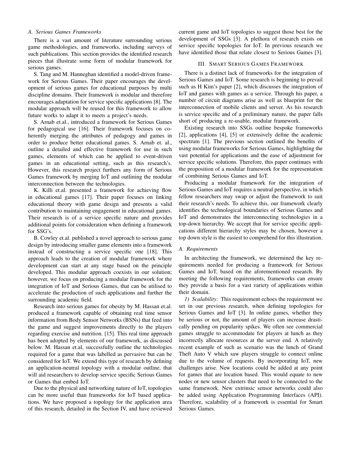## *A. Serious Games Frameworks*

There is a vast amount of literature surrounding serious game methodologies, and frameworks, including surveys of such publications. This section provides the identified research pieces that illustrate some form of modular framework for serious games.

S. Tang and M. Hanneghan identified a model-driven framework for Serious Games. Their paper encourages the development of serious games for educational purposes by multi discipline domains. Their framework is modular and therefore encourages adaptation for service specific applications [8]. The modular approach will be reused for this framework to allow future works to adapt it to meets a project's needs.

S. Arnab et.al., introduced a framework for Serious Games for pedagogical use [16]. Their framework focuses on coherently merging the attributes of pedagogy and games in order to produce better educational games. S. Arnab et. al., outline a detailed and effective framework for use in such games, elements of which can be applied to event-driven games in an educational setting, such as this research's. However, this research project furthers any form of Serious Games framework by merging IoT and outlining the modular interconnection between the technologies.

K. Killi et.al. presented a framework for achieving flow in educational games [17]. Their paper focuses on linking educational theory with game design and presents a valid contribution to maintaining engagement in educational games. Their research is of a service specific nature and provides additional points for consideration when defining a framework for SSG's.

B. Cowley et.al. published a novel approach to serious game design by introducing smaller game elements into a framework instead of constructing a service specific one [18]. This approach leads to the creation of modular framework where development can start at any stage based on the principle developed. This modular approach coexists in our solution; however, we focus on producing a modular framework for the integration of IoT and Serious Games, that can be utilised to accelerate the production of such applications and further the surrounding academic field.

Research into serious games for obesity by M. Hassan et.al. produced a framework capable of obtaining real time sensor information from Body Sensor Networks (BSNs) that feed into the game and suggest improvements directly to the players regarding exercise and nutrition. [15]. This real time approach has been adopted by elements of our framework, as discussed below. M. Hassan et.al, successfully outline the technologies required for a game that was labelled as pervasive but can be considered for IoT. We extend this type of research by defining an application-neutral topology with a modular outline, that will aid researchers to develop service specific Serious Games or Games that embed IoT.

Due to the physical and networking nature of IoT, topologies can be more useful than frameworks for IoT based applications. We have proposed a topology for the application area of this research, detailed in the Section IV, and have reviewed current game and IoT topologies to suggest those best for the development of SSGs [3]. A plethora of research exists on service specific topologies for IoT. In previous research we have identified those that relate closest to Serious Games [3].

## III. SMART SERIOUS GAMES FRAMEWORK

There is a distinct lack of frameworks for the integration of Serious Games and IoT. Some research is beginning to prevail such as H Kim's paper [2], which discusses the integration of IoT and games with games as a service. Through his paper, a number of circuit diagrams arise as well as blueprint for the interconnection of mobile clients and server. As his research is service specific and of a preliminary nature, the paper falls short of producing a re-usable, modular framework.

Existing research into SSGs outline bespoke frameworks [2], applications [4], [5] or extensively define the academic spectrum [1]. The previous section outlined the benefits of using modular frameworks for Serious Games, highlighting the vast potential for applications and the ease of adjustment for service specific solutions. Therefore, this paper continues with the proposition of a modular framework for the representation of combining Serious Games and IoT.

Producing a modular framework for the integration of Serious Games and IoT requires a neutral perspective, in which fellow researchers may swap or adjust the framework to suit their research's needs. To achieve this, our framework clearly identifies the technological boundaries of Serious Games and IoT and demonstrates the interconnecting technologies in a top-down hierarchy. We accept that for service specific applications different hierarchy styles may be chosen, however a top down style is the easiest to comprehend for this illustration.

#### *A. Requirements*

In architecting the framework, we determined the key requirements needed for producing a framework for Serious Games and IoT, based on the aforementioned research. By meeting the following requirements, frameworks can ensure they provide a basis for a vast variety of applications within their domain.

*1) Scalability:* This requirement echoes the requirement we set in our previous research, when defining topologies for Serious Games and IoT [3]. In online games, whether they be serious or not, the amount of players can increase drastically pending on popularity spikes. We often see commercial games struggle to accommodate for players at lunch as they incorrectly allocate resources at the server end. A relatively recent example of such as scenario was the lunch of Grand Theft Auto V which saw players struggle to connect online due to the volume of requests. By incorporating IoT, new challenges arise. New locations could be added at any point for games that are location based. This would equate to new nodes or new sensor clusters that need to be connected to the same framework. New extrinsic sensor networks could also be added using Application Programming Interfaces (API). Therefore, scalability of a framework is essential for Smart Serious Games.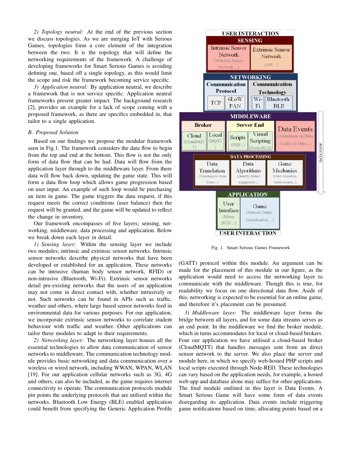*2) Topology neutral:* At the end of the previous section we discuss topologies. As we are merging IoT with Serious Games, topologies form a core element of the integration between the two. It is the topology that will define the networking requirements of the framework. A challenge of developing frameworks for Smart Serious Games is avoiding defining one, based off a single topology, as this would limit the scope and risk the framework becoming service specific.

*3) Application neutral:* By application neutral, we describe a framework that is not service specific. Application neutral frameworks present greater impact. The background research [2], provides an example for a lack of scope coming with a proposed framework, as there are specifics embedded in, that tailor to a single application.

## *B. Proposed Solution*

Based on our findings we propose the modular framework seen in Fig.1. The framework considers the data flow to begin from the top and end at the bottom. This flow is not the only form of data flow that can be had. Data will flow from the application layer through to the middleware layer. From there data will flow back down, updating the game state. This will form a data flow loop which allows game progression based on user input. An example of such loop would be purchasing an item in game. The game triggers the data request, if this request meets the correct conditions (user balance) then the request will be granted, and the game will be updated to reflect the change in inventory.

Our framework encompasses of five layers; sensing, networking, middleware, data processing and application. Below we break down each layer in detail.

*1) Sensing layer:* Within the sensing layer we include two modules; intrinsic and extrinsic sensor networks. Intrinsic sensor networks describe physical networks that have been developed or established for an application. These networks can be intrusive (human body sensor network, RFID) or non-intrusive (Bluetooth, Wi-Fi). Extrinsic sensor networks detail pre-existing networks that the users of an application may not come in direct contact with, whether intrusively or not. Such networks can be found in APIs such as traffic, weather and others, where large based sensor networks feed in environmental data for various purposes. For our application, we incorporate extrinsic sensor networks to correlate student behaviour with traffic and weather. Other applications can tailor these modules to adapt to their requirements.

*2) Networking layer:* The networking layer houses all the essential technologies to allow data communication of sensor networks to middleware. The communication technology module provides basic networking and data communication over a wireless or wired network, including WWAN, WPAN, WLAN [19]. For our application cellular networks such as 3G, 4G and others, can also be included, as the game requires internet connectivity to operate. The communication protocols module pin points the underlying protocols that are utilised within the networks. Bluetooth Low Energy (BLE) enabled application could benefit from specifying the Generic Application Profile



Fig. 1. Smart Serious Games Framework

(GATT) protocol within this module. An argument can be made for the placement of this module in our figure, as the application would need to access the networking layer to communicate with the middleware. Though this is true, for readability we focus on one directional data flow. Aside of this, networking is expected to be essential for an online game, and therefore it's placement can be presumed.

*3) Middleware layer:* The middleware layer forms the bridge between all layers, and for some data streams serves as an end point. In the middleware we find the broker module, which in turns accommodates for local or cloud-based brokers. Four our application we have utilised a cloud-based broker (CloudMQTT) that handles messages sent from an direct sensor network to the server. We also place the server end module here, in which we specify web-hosted PHP scripts and local scripts executed through Node-RED. These technologies can vary based on the application needs, for example, a hosted web-app and database alone may suffice for other applications. The final module outlined in this layer is Data Events. A Smart Serious Game will have some form of data events disregarding its application. Data events include triggering game notifications based on time, allocating points based on a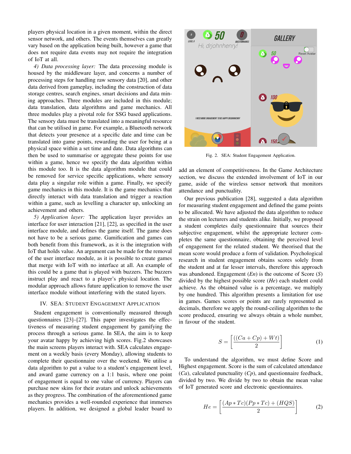players physical location in a given moment, within the direct sensor network, and others. The events themselves can greatly vary based on the application being built, however a game that does not require data events may not require the integration of IoT at all.

*4) Data processing layer:* The data processing module is housed by the middleware layer, and concerns a number of processing steps for handling raw sensory data [20], and other data derived from gameplay, including the construction of data storage centres, search engines, smart decisions and data mining approaches. Three modules are included in this module; data translation, data algorithms and game mechanics. All three modules play a pivotal role for SSG based applications. The sensory data must be translated into a meaningful resource that can be utilised in game. For example, a Bluetooth network that detects your presence at a specific date and time can be translated into game points, rewarding the user for being at a physical space within a set time and date. Data algorithms can then be used to summarise or aggregate these points for use within a game, hence we specify the data algorithm within this module too. It is the data algorithm module that could be removed for service specific applications, where sensory data play a singular role within a game. Finally, we specify game mechanics in this module. It is the game mechanics that directly interact with data translation and trigger a reaction within a game, such as levelling a character up, unlocking an achievement and others.

*5) Application layer:* The application layer provides an interface for user interaction [21], [22], as specified in the user interface module, and defines the game itself. The game does not have to be a serious game. Gamification and games can both benefit from this framework, as it is the integration with IoT that holds value. An argument can be made for the removal of the user interface module, as it is possible to create games that merge with IoT with no interface at all. An example of this could be a game that is played with buzzers. The buzzers instruct play and react to a player's physical location. The modular approach allows future application to remove the user interface module without interfering with the stated layers.

### IV. SEA: STUDENT ENGAGEMENT APPLICATION

Student engagement is conventionally measured through questionnaires [23]–[27]. This paper investigates the effectiveness of measuring student engagement by gamifying the process through a serious game. In SEA, the aim is to keep your avatar happy by achieving high scores. Fig.2 showcases the main screens players interact with. SEA calculates engagement on a weekly basis (every Monday), allowing students to complete their questionnaire over the weekend. We utilise a data algorithm to put a value to a student's engagement level, and award game currency on a 1:1 basis, where one point of engagement is equal to one value of currency. Players can purchase new skins for their avatars and unlock achievements as they progress. The combination of the aforementioned game mechanics provides a well-rounded experience that immerses players. In addition, we designed a global leader board to



Fig. 2. SEA: Student Engagement Application.

add an element of competitiveness. In the Game Architecture section, we discuss the extended involvement of IoT in our game, aside of the wireless sensor network that monitors attendance and punctuality.

Our previous publication [28], suggested a data algorithm for measuring student engagement and defined the game points to be allocated. We have adjusted the data algorithm to reduce the strain on lecturers and students alike. Initially, we proposed a student completes daily questionnaire that sources their subjective engagement, whilst the appropriate lecturer completes the same questionnaire, obtaining the perceived level of engagement for the related student. We theorised that the mean score would produce a form of validation. Psychological research in student engagement obtains scores solely from the student and at far lesser intervals, therefore this approach was abandoned. Engagement (*En*) is the outcome of Score (*S*) divided by the highest possible score (*He*) each student could achieve. As the obtained value is a percentage, we multiply by one hundred. This algorithm presents a limitation for use in games. Games scores or points are rarely represented as decimals, therefore we apply the round-ceiling algorithm to the score produced, ensuring we always obtain a whole number, in favour of the student.

$$
S = \left[ \frac{((Ca + Cp) + Wt)}{2} \right] \tag{1}
$$

To understand the algorithm, we must define Score and Highest engagement. Score is the sum of calculated attendance (*Ca*), calculated punctuality (*Cp*), and questionnaire feedback, divided by two. We divide by two to obtain the mean value of IoT generated score and electronic questionnaires.

$$
He = \left[\frac{(Ap * Tc)(Pp * Tc) + (HQS)}{2}\right]
$$
 (2)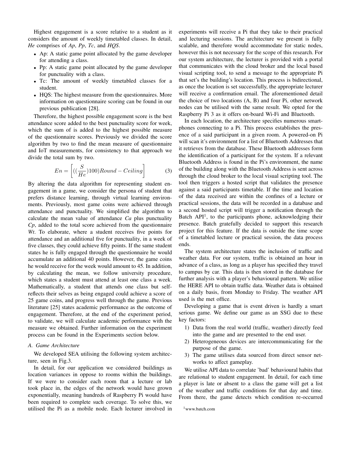Highest engagement is a score relative to a student as it considers the amount of weekly timetabled classes. In detail, *He* comprises of *Ap*, *Pp*, *Tc*, and *HQS*.

- Ap: A static game point allocated by the game developer for attending a class.
- Pp: A static game point allocated by the game developer for punctuality with a class.
- Tc: The amount of weekly timetabled classes for a student.
- HQS: The highest measure from the questionnaires. More information on questionnaire scoring can be found in our previous publication [28].

Therefore, the highest possible engagement score is the best attendance score added to the best punctuality score for week, which the sum of is added to the highest possible measure of the questionnaire scores. Previously we divided the score algorithm by two to find the mean measure of questionnaire and IoT measurements, for consistency to that approach we divide the total sum by two.

$$
En = \left[ \left( \left( \frac{S}{He} \right) 100 \right) Round - Ceiling \right] \tag{3}
$$

By altering the data algorithm for representing student engagement in a game, we consider the persona of student that prefers distance learning, through virtual learning environments. Previously, most game coins were achieved through attendance and punctuality. We simplified the algorithm to calculate the mean value of attendance *Ca* plus punctuality *Cp*, added to the total score achieved from the questionnaire *Wt*. To elaborate, where a student receives five points for attendance and an additional five for punctuality, in a week of five classes, they could achieve fifty points. If the same student states he is fully engaged through the questionnaire he would accumulate an additional 40 points. However, the game coins he would receive for the week would amount to 45. In addition, by calculating the mean, we follow university procedure, which states a student must attend at least one class a week. Mathematically, a student that attends one class but selfreflects their selves as being engaged could achieve a score of 25 game coins, and progress well through the game. Previous literature [25] states academic performance as the outcome of engagement. Therefore, at the end of the experiment period, to validate, we will calculate academic performance with the measure we obtained. Further information on the experiment process can be found in the Experiments section below.

## *A. Game Architecture*

We developed SEA utilising the following system architecture, seen in Fig.3.

In detail, for our application we considered buildings as location variances in oppose to rooms within the buildings. If we were to consider each room that a lecture or lab took place in, the edges of the network would have grown exponentially, meaning hundreds of Raspberry Pi would have been required to complete such coverage. To solve this, we utilised the Pi as a mobile node. Each lecturer involved in experiments will receive a Pi that they take to their practical and lecturing sessions. The architecture we present is fully scalable, and therefore would accommodate for static nodes, however this is not necessary for the scope of this research. For our system architecture, the lecturer is provided with a portal that communicates with the cloud broker and the local based visual scripting tool, to send a message to the appropriate Pi that set's the building's location. This process is bidirectional, as once the location is set successfully, the appropriate lecturer will receive a confirmation email. The aforementioned detail the choice of two locations (A, B) and four Pi, other network nodes can be utilised with the same result. We opted for the Raspberry Pi 3 as it offers on-board Wi-Fi and Bluetooth.

In each location, the architecture specifies numerous smartphones connecting to a Pi. This process establishes the presence of a said participant in a given room. A powered-on Pi will scan it's environment for a list of Bluetooth Addresses that it retrieves from the database. These Bluetooth addresses form the identification of a participant for the system. If a relevant Bluetooth Address is found in the Pi's environment, the name of the building along with the Bluetooth Address is sent across through the cloud broker to the local visual scripting tool. The tool then triggers a hosted script that validates the presence against a said participants timetable. If the time and location of the data received are within the confines of a lecture or practical sessions, the data will be recorded in a database and a second hosted script will trigger a notification through the Batch  $API<sup>1</sup>$ , to the participants phone, acknowledging their presence. Batch gratefully decided to support this research project for this feature. If the data is outside the time scope of a timetabled lecture or practical session, the data process ends.

The system architecture states the inclusion of traffic and weather data. For our system, traffic is obtained an hour in advance of a class, as long as a player has specified they travel to campus by car. This data is then stored in the database for further analysis with a player's behavioural pattern. We utilise the HERE API to obtain traffic data. Weather data is obtained on a daily basis, from Monday to Friday. The weather API used is the met office.

Developing a game that is event driven is hardly a smart serious game. We define our game as an SSG due to these key factors:

- 1) Data from the real world (traffic, weather) directly feed into the game and are presented to the end user.
- 2) Heterogeneous devices are intercommunicating for the purpose of the game.
- 3) The game utilises data sourced from direct sensor networks to affect gameplay.

We utilise API data to correlate 'bad' behavioural habits that are relational to student engagement. In detail, for each time a player is late or absent to a class the game will get a list of the weather and traffic conditions for that day and time. From there, the game detects which condition re-occurred

 $1$ www.batch.com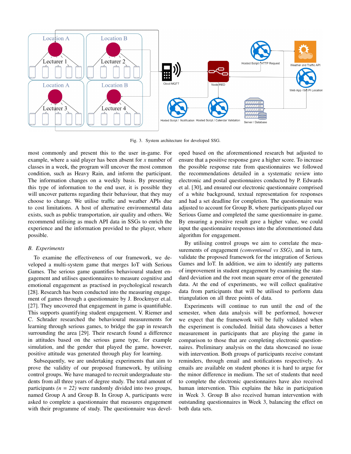

Fig. 3. System architecture for developed SSG.

most commonly and present this to the user in-game. For example, where a said player has been absent for *x* number of classes in a week, the program will uncover the most common condition, such as Heavy Rain, and inform the participant. The information changes on a weekly basis. By presenting this type of information to the end user, it is possible they will uncover patterns regarding their behaviour, that they may choose to change. We utilise traffic and weather APIs due to cost limitations. A host of alternative environmental data exists, such as public transportation, air quality and others. We recommend utilising as much API data in SSGs to enrich the experience and the information provided to the player, where possible.

## *B. Experiments*

To examine the effectiveness of our framework, we developed a multi-system game that merges IoT with Serious Games. The serious game quantifies behavioural student engagement and utilises questionnaires to measure cognitive and emotional engagement as practised in psychological research [28]. Research has been conducted into the measuring engagement of games through a questionnaire by J. Brockmyer et.al. [27]. They uncovered that engagement in game is quantifiable. This supports quantifying student engagement. V. Riemer and C. Schrader researched the behavioural measurements for learning through serious games, to bridge the gap in research surrounding the area [29]. Their research found a difference in attitudes based on the serious game type, for example simulation, and the gender that played the game, however, positive attitude was generated through play for learning.

Subsequently, we are undertaking experiments that aim to prove the validity of our proposed framework, by utilising control groups. We have managed to recruit undergraduate students from all three years of degree study. The total amount of participants  $(n = 22)$  were randomly divided into two groups, named Group A and Group B. In Group A, participants were asked to complete a questionnaire that measures engagement with their programme of study. The questionnaire was developed based on the aforementioned research but adjusted to ensure that a positive response gave a higher score. To increase the possible response rate from questionnaires we followed the recommendations detailed in a systematic review into electronic and postal questionnaires conducted by P. Edwards et al. [30], and ensured our electronic questionnaire comprised of a white background, textual representation for responses and had a set deadline for completion. The questionnaire was adjusted to account for Group B, where participants played our Serious Game and completed the same questionnaire in-game. By ensuring a positive result gave a higher value, we could input the questionnaire responses into the aforementioned data algorithm for engagement.

By utilising control groups we aim to correlate the measurements of engagement *(conventional vs SSG)*, and in turn, validate the proposed framework for the integration of Serious Games and IoT. In addition, we aim to identify any patterns of improvement in student engagement by examining the standard deviation and the root mean square error of the generated data. At the end of experiments, we will collect qualitative data from participants that will be utilised to perform data triangulation on all three points of data.

Experiments will continue to run until the end of the semester, when data analysis will be performed, however we expect that the framework will be fully validated when the experiment is concluded. Initial data showcases a better measurement in participants that are playing the game in comparison to those that are completing electronic questionnaires. Preliminary analysis on the data showcased no issue with intervention. Both groups of participants receive constant reminders, through email and notifications respectively. As emails are available on student phones it is hard to argue for the minor difference in medium. The set of students that need to complete the electronic questionnaires have also received human intervention. This explains the hike in participation in Week 3. Group B also received human intervention with outstanding questionnaires in Week 3, balancing the effect on both data sets.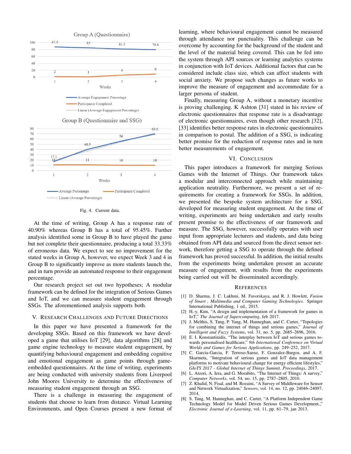



Fig. 4. Current data.

At the time of writing, Group A has a response rate of 40.90% whereas Group B has a total of 95.45%. Further analysis identified some in Group B to have played the game but not complete their questionnaire, producing a total 33.33% of erroneous data. We expect to see no improvement for the stated weeks in Group A, however, we expect Week 3 and 4 in Group B to significantly improve as more students launch the, and in turn provide an automated response to their engagement percentage.

Our research project set out two hypotheses; A modular framework can be defined for the integration of Serious Games and IoT, and we can measure student engagement through SSGs. The aforementioned analysis supports both.

### V. RESEARCH CHALLENGES AND FUTURE DIRECTIONS

In this paper we have presented a framework for the developing SSGs. Based on this framework we have developed a game that utilises IoT [29], data algorithms [28] and game engine technology to measure student engagement, by quantifying behavioural engagement and embedding cognitive and emotional engagement as game points through gameembedded questionnaires. At the time of writing, experiments are being conducted with university students from Liverpool John Moores University to determine the effectiveness of measuring student engagement through an SSG.

There is a challenge in measuring the engagement of students that choose to learn from distance. Virtual Learning Environments, and Open Courses present a new format of learning, where behavioural engagement cannot be measured through attendance nor punctuality. This challenge can be overcome by accounting for the background of the student and the level of the material being covered. This can be fed into the system through API sources or learning analytics systems in conjunction with IoT devices. Additional factors that can be considered include class size, which can affect students with social anxiety. We propose such changes as future works to improve the measure of engagement and accommodate for a larger persona of student.

Finally, measuring Group A, without a monetary incentive is proving challenging. K Ashton [31] stated in his review of electronic questionnaires that response rate is a disadvantage of electronic questionnaires, even though other research [32], [33] identifies better response rates in electronic questionnaires in comparison to postal. The addition of a SSG, is indicating better promise for the reduction of response rates and in turn better measurements of engagement.

## VI. CONCLUSION

This paper introduces a framework for merging Serious Games with the Internet of Things. Our framework takes a modular and interconnected approach while maintaining application neutrality. Furthermore, we present a set of requirements for creating a framework for SSGs. In addition, we presented the bespoke system architecture for a SSG, developed for measuring student engagement. At the time of writing, experiments are being undertaken and early results present promise to the effectiveness of our framework and measure. The SSG, however, successfully operates with user input from appropriate lecturers and students, and data being obtained from API data and sourced from the direct sensor network, therefore getting a SSG to operate through the defined framework has proved successful. In addition, the initial results from the experiments being undertaken present an accurate measure of engagement, with results from the experiments being carried out will be disseminated accordingly.

#### **REFERENCES**

- [1] D. Sharma, J. C. Lakhmi, M. Favorskaya, and R. J. Howlett, *Fusion of Smart , Multimedia and Computer Gaming Technologies*. Springer International Publishing, 1 ed., 2015.
- [2] H.-y. Kim, "A design and implementation of a framework for games in IoT," *The Journal of Supercomputing*, feb 2017.
- [3] J. Melthis, S. Tang, P. Yang, M. Hanneghan, and C. Carter, "Topologies for combining the internet of things and serious games," *Journal of Intelligent and Fuzzy Systems*, vol. 31, no. 5, pp. 2685–2696, 2016.
- [4] E. I. Konstantinidis, "The interplay between IoT and serious games towards personalised healthcare," *9th International Conference on Virtual Worlds and Games for Serious Applications*, pp. 249–252, 2017.
- [5] C. Garcia-Garcia, F. Terroso-Saenz, F. Gonzalez-Burgos, and A. F. Skarmeta, "Integration of serious games and IoT data management platforms to motivate behavioural change for energy efficient lifestyles," *GIoTS 2017 - Global Internet of Things Summit, Proceedings*, 2017.
- [6] L. Atzori, A. Iera, and G. Morabito, "The Internet of Things: A survey," *Computer Networks*, vol. 54, no. 15, pp. 2787–2805, 2010.
- [7] Z. Khalid, N. Fisal, and M. Rozaini, "A Survey of Middleware for Sensor and Network Virtualization," *Sensors*, vol. 14, no. 12, pp. 24046–24097, 2014.
- [8] S. Tang, M. Hanneghan, and C. Carter, "A Platform Independent Game Technology Model for Model Driven Serious Games Development.," *Electronic Journal of e-Learning*, vol. 11, pp. 61–79, jan 2013.